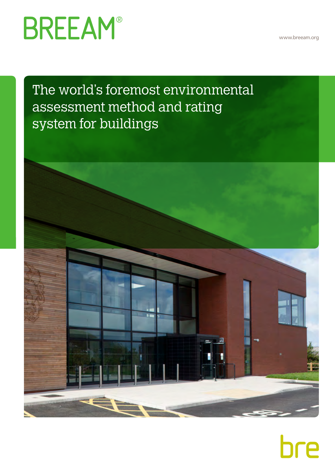www.breeam.org

# **BREEAM®**

The world's foremost environmental assessment method and rating system for buildings



# bre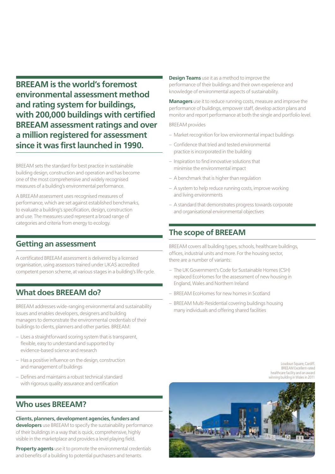**BREEAM is the world's foremost environmental assessment method and rating system for buildings, with 200,000 buildings with certified BREEAM assessment ratings and over a million registered for assessment since it was first launched in 1990.**

BREEAM sets the standard for best practice in sustainable building design, construction and operation and has become one of the most comprehensive and widely recognised measures of a building's environmental performance.

A BREEAM assessment uses recognised measures of performance, which are set against established benchmarks, to evaluate a building's specification, design, construction and use. The measures used represent a broad range of categories and criteria from energy to ecology.

# **Getting an assessment**

A certificated BREEAM assessment is delivered by a licensed organisation, using assessors trained under UKAS accredited competent person scheme, at various stages in a building's life cycle.

## **What does BREEAM do?**

BREEAM addresses wide-ranging environmental and sustainability issues and enables developers, designers and building managers to demonstrate the environmental credentials of their buildings to clients, planners and other parties. BREEAM:

- Uses a straightforward scoring system that is transparent, flexible, easy to understand and supported by evidence-based science and research
- Has a positive influence on the design, construction and management of buildings
- Defines and maintains a robust technical standard with rigorous quality assurance and certification

## **Who uses BREEAM?**

#### **Clients, planners, development agencies, funders and**

**developers** use BREEAM to specify the sustainability performance of their buildings in a way that is quick, comprehensive, highly visible in the marketplace and provides a level playing field.

**Property agents** use it to promote the environmental credentials and benefits of a building to potential purchasers and tenants.

**Design Teams** use it as a method to improve the performance of their buildings and their own experience and knowledge of environmental aspects of sustainability.

**Managers** use it to reduce running costs, measure and improve the performance of buildings, empower staff, develop action plans and monitor and report performance at both the single and portfolio level.

BREEAM provides

- Market recognition for low environmental impact buildings
- Confidence that tried and tested environmental practice is incorporated in the building
- Inspiration to find innovative solutions that minimise the environmental impact
- A benchmark that is higher than regulation
- A system to help reduce running costs, improve working and living environments
- A standard that demonstrates progress towards corporate and organisational environmental objectives

## **The scope of BREEAM**

BREEAM covers all building types, schools, healthcare buildings, offices, industrial units and more. For the housing sector, there are a number of variants:

- The UK Government's Code for Sustainable Homes (CSH) replaced EcoHomes for the assessment of new housing in England, Wales and Northern Ireland
- BREEAM EcoHomes for new homes in Scotland
- BREEAM Multi-Residential covering buildings housing many individuals and offering shared facilities

#### Loudoun Square, Cardiff. BREEAM Excellent-rated healthcare facility and an award winning building in Wales in 2011

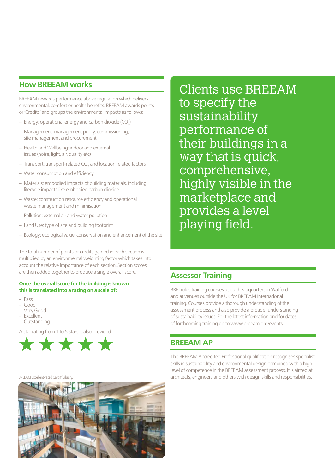### **How BREEAM works**

BREEAM rewards performance above regulation which delivers environmental, comfort or health benefits. BREEAM awards points or 'Credits' and groups the environmental impacts as follows:

- $-$  Energy: operational energy and carbon dioxide (CO<sub>2</sub>)
- Management: management policy, commissioning, site management and procurement
- Health and Wellbeing: indoor and external issues (noise, light, air, quality etc)
- $-$  Transport: transport-related CO<sub>2</sub> and location related factors
- Water consumption and efficiency
- Materials: embodied impacts of building materials, including lifecycle impacts like embodied carbon dioxide
- Waste: construction resource efficiency and operational waste management and minimisation
- Pollution: external air and water pollution
- Land Use: type of site and building footprint
- Ecology: ecological value, conservation and enhancement of the site

The total number of points or credits gained in each section is multiplied by an environmental weighting factor which takes into account the relative importance of each section. Section scores are then added together to produce a single overall score.

#### **Once the overall score for the building is known this is translated into a rating on a scale of:**

- Pass
- Good
- Very Good
- **Excellent**
- Outstanding

A star rating from 1 to 5 stars is also provided:



Clients use BREEAM to specify the sustainability performance of their buildings in a way that is quick, comprehensive, highly visible in the marketplace and provides a level playing field.

## **Assessor Training**

BRE holds training courses at our headquarters in Watford and at venues outside the UK for BREEAM International training. Courses provide a thorough understanding of the assessment process and also provide a broader understanding of sustainability issues. For the latest information and for dates of forthcoming training go to www.breeam.org/events

### **BREEAM AP**

The BREEAM Accredited Professional qualification recognises specialist skills in sustainability and environmental design combined with a high level of competence in the BREEAM assessment process. It is aimed at BREEAM Excellent-rated Cardiff Library. **architects, engineers and others with design skills and responsibilities.** 

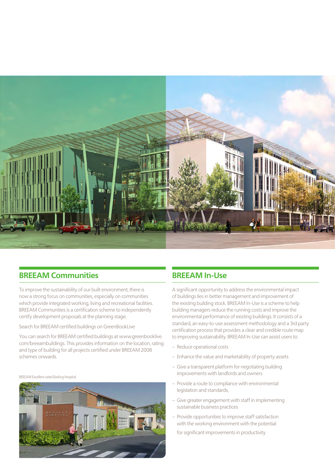

## **BREEAM Communities**

To improve the sustainability of our built environment, there is now a strong focus on communities, especially on communities which provide integrated working, living and recreational facilities. BREEAM Communities is a certification scheme to independently certify development proposals at the planning stage.

Search for BREEAM certified buildings on GreenBookLive

You can search for BREEAM certified buildings at www.greenbooklive. com/breeambuildings. This provides information on the location, rating and type of building for all projects certified under BREEAM 2008 schemes onwards.

BREEAM Excellent-rated Barking Hospital.



# **BREEAM In-Use**

A significant opportunity to address the environmental impact of buildings lies in better management and improvement of the existing building stock. BREEAM In-Use is a scheme to help building managers reduce the running costs and improve the environmental performance of existing buildings. It consists of a standard, an easy-to-use assessment methodology and a 3rd party certification process that provides a clear and credible route map to improving sustainability. BREEAM In-Use can assist users to:

- Reduce operational costs
- Enhance the value and marketability of property assets
- Give a transparent platform for negotiating building improvements with landlords and owners
- Provide a route to compliance with environmental legislation and standards,
- Give greater engagement with staff in implementing sustainable business practices
- Provide opportunities to improve staff satisfaction with the working environment with the potential

for significant improvements in productivity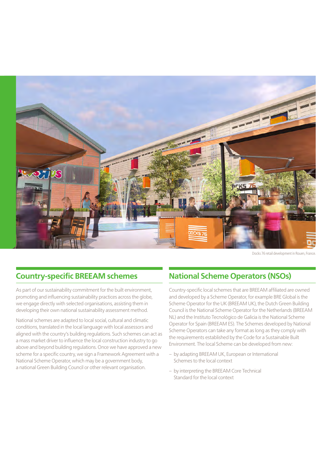

Docks 76 retail development in Rouen, France.

# **Country-specific BREEAM schemes**

As part of our sustainability commitment for the built environment, promoting and influencing sustainability practices across the globe, we engage directly with selected organisations, assisting them in developing their own national sustainability assessment method.

National schemes are adapted to local social, cultural and climatic conditions, translated in the local language with local assessors and aligned with the country's building regulations. Such schemes can act as a mass market driver to influence the local construction industry to go above and beyond building regulations. Once we have approved a new scheme for a specific country, we sign a Framework Agreement with a National Scheme Operator, which may be a government body, a national Green Building Council or other relevant organisation.

# **National Scheme Operators (NSOs)**

Country-specific local schemes that are BREEAM affiliated are owned and developed by a Scheme Operator, for example BRE Global is the Scheme Operator for the UK (BREEAM UK), the Dutch Green Building Council is the National Scheme Operator for the Netherlands (BREEAM NL) and the Instituto Tecnológico de Galicia is the National Scheme Operator for Spain (BREEAM ES). The Schemes developed by National Scheme Operators can take any format as long as they comply with the requirements established by the Code for a Sustainable Built Environment. The local Scheme can be developed from new:

- by adapting BREEAM UK, European or International Schemes to the local context
- by interpreting the BREEAM Core Technical Standard for the local context